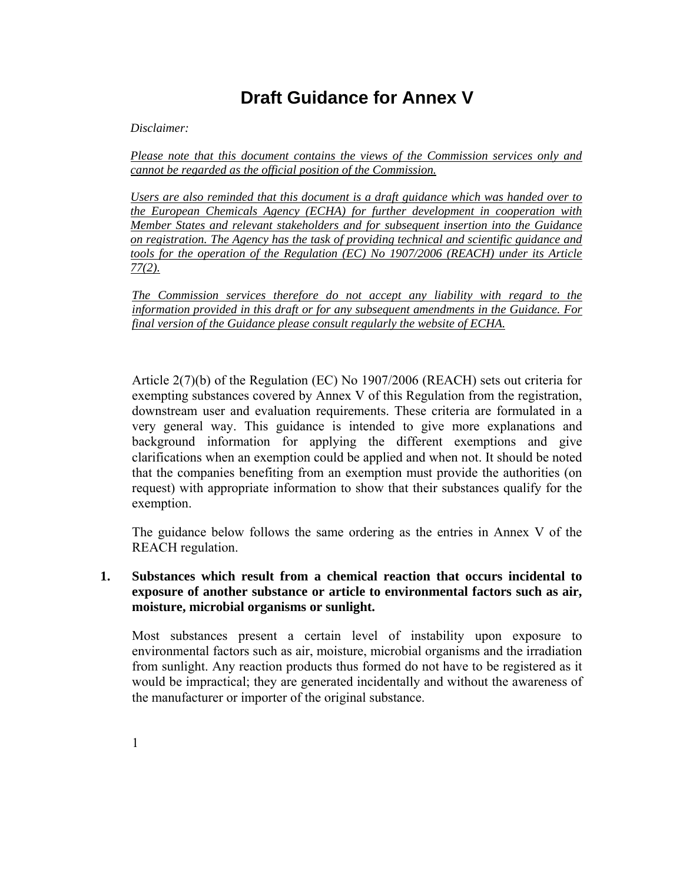# **Draft Guidance for Annex V**

*Disclaimer:* 

*Please note that this document contains the views of the Commission services only and cannot be regarded as the official position of the Commission.* 

*Users are also reminded that this document is a draft guidance which was handed over to the European Chemicals Agency (ECHA) for further development in cooperation with Member States and relevant stakeholders and for subsequent insertion into the Guidance on registration. The Agency has the task of providing technical and scientific guidance and tools for the operation of the Regulation (EC) No 1907/2006 (REACH) under its Article 77(2).* 

*The Commission services therefore do not accept any liability with regard to the information provided in this draft or for any subsequent amendments in the Guidance. For final version of the Guidance please consult regularly the website of ECHA.* 

Article 2(7)(b) of the Regulation (EC) No 1907/2006 (REACH) sets out criteria for exempting substances covered by Annex V of this Regulation from the registration, downstream user and evaluation requirements. These criteria are formulated in a very general way. This guidance is intended to give more explanations and background information for applying the different exemptions and give clarifications when an exemption could be applied and when not. It should be noted that the companies benefiting from an exemption must provide the authorities (on request) with appropriate information to show that their substances qualify for the exemption.

The guidance below follows the same ordering as the entries in Annex V of the REACH regulation.

### **1. Substances which result from a chemical reaction that occurs incidental to exposure of another substance or article to environmental factors such as air, moisture, microbial organisms or sunlight.**

Most substances present a certain level of instability upon exposure to environmental factors such as air, moisture, microbial organisms and the irradiation from sunlight. Any reaction products thus formed do not have to be registered as it would be impractical; they are generated incidentally and without the awareness of the manufacturer or importer of the original substance.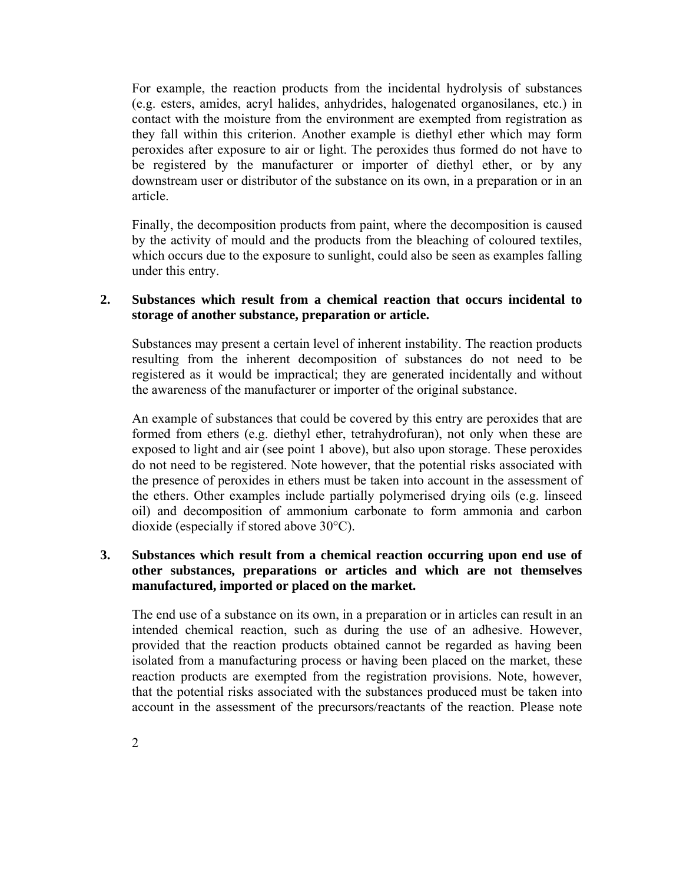For example, the reaction products from the incidental hydrolysis of substances (e.g. esters, amides, acryl halides, anhydrides, halogenated organosilanes, etc.) in contact with the moisture from the environment are exempted from registration as they fall within this criterion. Another example is diethyl ether which may form peroxides after exposure to air or light. The peroxides thus formed do not have to be registered by the manufacturer or importer of diethyl ether, or by any downstream user or distributor of the substance on its own, in a preparation or in an article.

Finally, the decomposition products from paint, where the decomposition is caused by the activity of mould and the products from the bleaching of coloured textiles, which occurs due to the exposure to sunlight, could also be seen as examples falling under this entry.

#### **2. Substances which result from a chemical reaction that occurs incidental to storage of another substance, preparation or article.**

Substances may present a certain level of inherent instability. The reaction products resulting from the inherent decomposition of substances do not need to be registered as it would be impractical; they are generated incidentally and without the awareness of the manufacturer or importer of the original substance.

An example of substances that could be covered by this entry are peroxides that are formed from ethers (e.g. diethyl ether, tetrahydrofuran), not only when these are exposed to light and air (see point 1 above), but also upon storage. These peroxides do not need to be registered. Note however, that the potential risks associated with the presence of peroxides in ethers must be taken into account in the assessment of the ethers. Other examples include partially polymerised drying oils (e.g. linseed oil) and decomposition of ammonium carbonate to form ammonia and carbon dioxide (especially if stored above 30°C).

### **3. Substances which result from a chemical reaction occurring upon end use of other substances, preparations or articles and which are not themselves manufactured, imported or placed on the market.**

The end use of a substance on its own, in a preparation or in articles can result in an intended chemical reaction, such as during the use of an adhesive. However, provided that the reaction products obtained cannot be regarded as having been isolated from a manufacturing process or having been placed on the market, these reaction products are exempted from the registration provisions. Note, however, that the potential risks associated with the substances produced must be taken into account in the assessment of the precursors/reactants of the reaction. Please note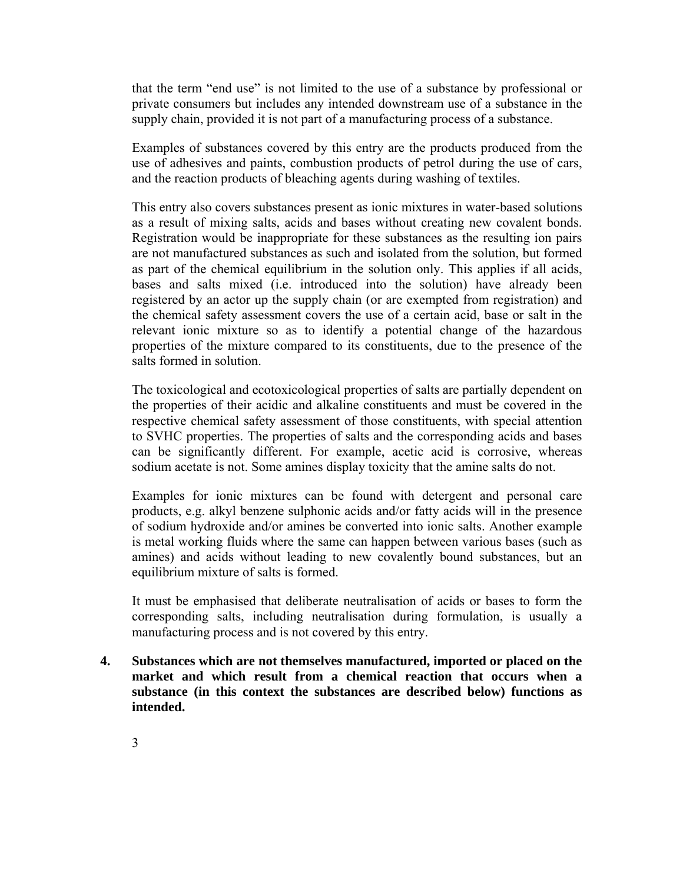that the term "end use" is not limited to the use of a substance by professional or private consumers but includes any intended downstream use of a substance in the supply chain, provided it is not part of a manufacturing process of a substance.

Examples of substances covered by this entry are the products produced from the use of adhesives and paints, combustion products of petrol during the use of cars, and the reaction products of bleaching agents during washing of textiles.

This entry also covers substances present as ionic mixtures in water-based solutions as a result of mixing salts, acids and bases without creating new covalent bonds. Registration would be inappropriate for these substances as the resulting ion pairs are not manufactured substances as such and isolated from the solution, but formed as part of the chemical equilibrium in the solution only. This applies if all acids, bases and salts mixed (i.e. introduced into the solution) have already been registered by an actor up the supply chain (or are exempted from registration) and the chemical safety assessment covers the use of a certain acid, base or salt in the relevant ionic mixture so as to identify a potential change of the hazardous properties of the mixture compared to its constituents, due to the presence of the salts formed in solution.

The toxicological and ecotoxicological properties of salts are partially dependent on the properties of their acidic and alkaline constituents and must be covered in the respective chemical safety assessment of those constituents, with special attention to SVHC properties. The properties of salts and the corresponding acids and bases can be significantly different. For example, acetic acid is corrosive, whereas sodium acetate is not. Some amines display toxicity that the amine salts do not.

Examples for ionic mixtures can be found with detergent and personal care products, e.g. alkyl benzene sulphonic acids and/or fatty acids will in the presence of sodium hydroxide and/or amines be converted into ionic salts. Another example is metal working fluids where the same can happen between various bases (such as amines) and acids without leading to new covalently bound substances, but an equilibrium mixture of salts is formed.

It must be emphasised that deliberate neutralisation of acids or bases to form the corresponding salts, including neutralisation during formulation, is usually a manufacturing process and is not covered by this entry.

**4. Substances which are not themselves manufactured, imported or placed on the market and which result from a chemical reaction that occurs when a substance (in this context the substances are described below) functions as intended.**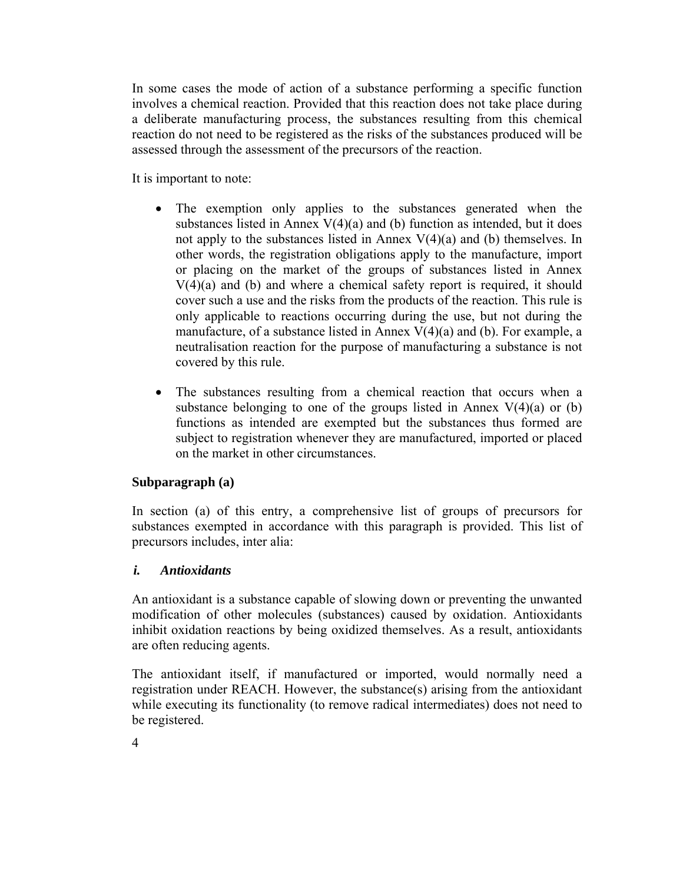In some cases the mode of action of a substance performing a specific function involves a chemical reaction. Provided that this reaction does not take place during a deliberate manufacturing process, the substances resulting from this chemical reaction do not need to be registered as the risks of the substances produced will be assessed through the assessment of the precursors of the reaction.

It is important to note:

- The exemption only applies to the substances generated when the substances listed in Annex  $V(4)(a)$  and (b) function as intended, but it does not apply to the substances listed in Annex  $V(4)(a)$  and (b) themselves. In other words, the registration obligations apply to the manufacture, import or placing on the market of the groups of substances listed in Annex  $V(4)(a)$  and (b) and where a chemical safety report is required, it should cover such a use and the risks from the products of the reaction. This rule is only applicable to reactions occurring during the use, but not during the manufacture, of a substance listed in Annex  $V(4)(a)$  and (b). For example, a neutralisation reaction for the purpose of manufacturing a substance is not covered by this rule.
- The substances resulting from a chemical reaction that occurs when a substance belonging to one of the groups listed in Annex  $V(4)(a)$  or (b) functions as intended are exempted but the substances thus formed are subject to registration whenever they are manufactured, imported or placed on the market in other circumstances.

### **Subparagraph (a)**

In section (a) of this entry, a comprehensive list of groups of precursors for substances exempted in accordance with this paragraph is provided. This list of precursors includes, inter alia:

### *i. Antioxidants*

An antioxidant is a substance capable of slowing down or preventing the unwanted modification of other molecules (substances) caused by oxidation. Antioxidants inhibit oxidation reactions by being oxidized themselves. As a result, antioxidants are often reducing agents.

The antioxidant itself, if manufactured or imported, would normally need a registration under REACH. However, the substance(s) arising from the antioxidant while executing its functionality (to remove radical intermediates) does not need to be registered.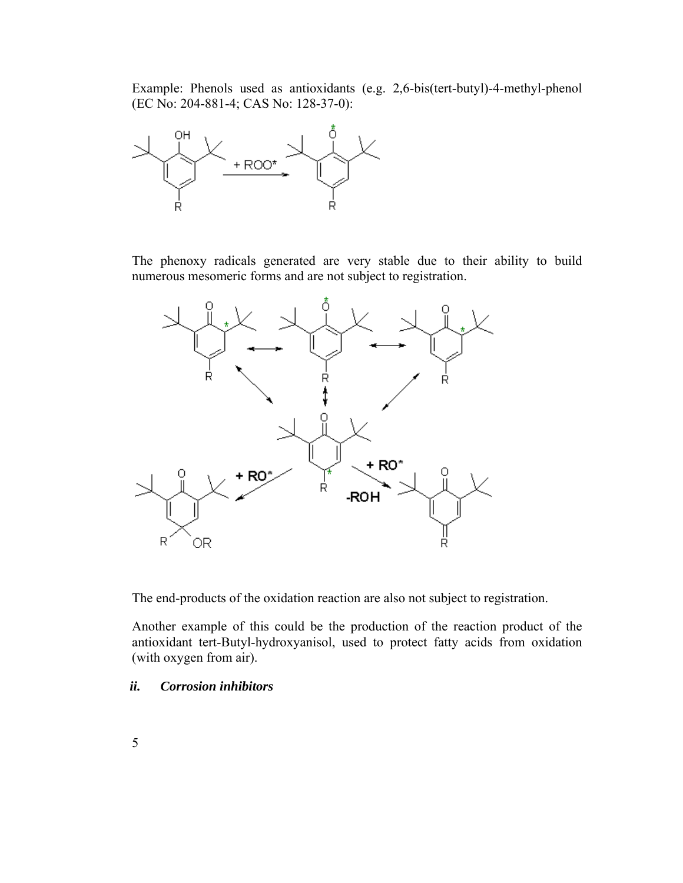Example: Phenols used as antioxidants (e.g. 2,6-bis(tert-butyl)-4-methyl-phenol (EC No: 204-881-4; CAS No: 128-37-0):



The phenoxy radicals generated are very stable due to their ability to build numerous mesomeric forms and are not subject to registration.



The end-products of the oxidation reaction are also not subject to registration.

Another example of this could be the production of the reaction product of the antioxidant tert-Butyl-hydroxyanisol, used to protect fatty acids from oxidation (with oxygen from air).

#### *ii. Corrosion inhibitors*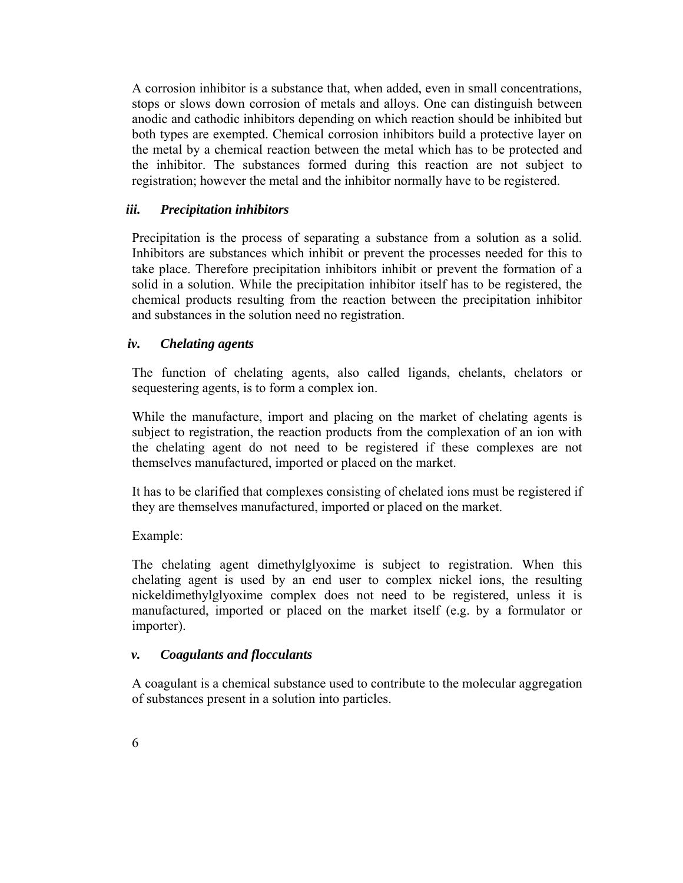A corrosion inhibitor is a substance that, when added, even in small concentrations, stops or slows down corrosion of metals and alloys. One can distinguish between anodic and cathodic inhibitors depending on which reaction should be inhibited but both types are exempted. Chemical corrosion inhibitors build a protective layer on the metal by a chemical reaction between the metal which has to be protected and the inhibitor. The substances formed during this reaction are not subject to registration; however the metal and the inhibitor normally have to be registered.

### *iii. Precipitation inhibitors*

Precipitation is the process of separating a substance from a solution as a solid. Inhibitors are substances which inhibit or prevent the processes needed for this to take place. Therefore precipitation inhibitors inhibit or prevent the formation of a solid in a solution. While the precipitation inhibitor itself has to be registered, the chemical products resulting from the reaction between the precipitation inhibitor and substances in the solution need no registration.

### *iv. Chelating agents*

The function of chelating agents, also called ligands, chelants, chelators or sequestering agents, is to form a complex ion.

While the manufacture, import and placing on the market of chelating agents is subject to registration, the reaction products from the complexation of an ion with the chelating agent do not need to be registered if these complexes are not themselves manufactured, imported or placed on the market.

It has to be clarified that complexes consisting of chelated ions must be registered if they are themselves manufactured, imported or placed on the market.

### Example:

The chelating agent dimethylglyoxime is subject to registration. When this chelating agent is used by an end user to complex nickel ions, the resulting nickeldimethylglyoxime complex does not need to be registered, unless it is manufactured, imported or placed on the market itself (e.g. by a formulator or importer).

### *v. Coagulants and flocculants*

A coagulant is a chemical substance used to contribute to the molecular aggregation of substances present in a solution into particles.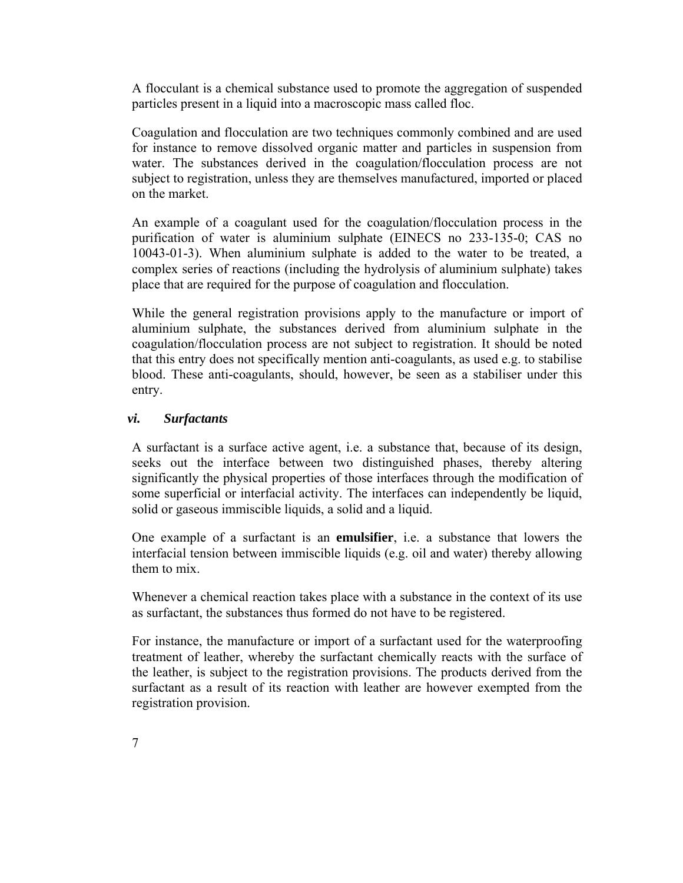A flocculant is a chemical substance used to promote the aggregation of suspended particles present in a liquid into a macroscopic mass called floc.

Coagulation and flocculation are two techniques commonly combined and are used for instance to remove dissolved organic matter and particles in suspension from water. The substances derived in the coagulation/flocculation process are not subject to registration, unless they are themselves manufactured, imported or placed on the market.

An example of a coagulant used for the coagulation/flocculation process in the purification of water is aluminium sulphate (EINECS no 233-135-0; CAS no 10043-01-3). When aluminium sulphate is added to the water to be treated, a complex series of reactions (including the hydrolysis of aluminium sulphate) takes place that are required for the purpose of coagulation and flocculation.

While the general registration provisions apply to the manufacture or import of aluminium sulphate, the substances derived from aluminium sulphate in the coagulation/flocculation process are not subject to registration. It should be noted that this entry does not specifically mention anti-coagulants, as used e.g. to stabilise blood. These anti-coagulants, should, however, be seen as a stabiliser under this entry.

### *vi. Surfactants*

A surfactant is a surface active agent, i.e. a substance that, because of its design, seeks out the interface between two distinguished phases, thereby altering significantly the physical properties of those interfaces through the modification of some superficial or interfacial activity. The interfaces can independently be liquid, solid or gaseous immiscible liquids, a solid and a liquid.

One example of a surfactant is an **emulsifier**, i.e. a substance that lowers the interfacial tension between immiscible liquids (e.g. oil and water) thereby allowing them to mix.

Whenever a chemical reaction takes place with a substance in the context of its use as surfactant, the substances thus formed do not have to be registered.

For instance, the manufacture or import of a surfactant used for the waterproofing treatment of leather, whereby the surfactant chemically reacts with the surface of the leather, is subject to the registration provisions. The products derived from the surfactant as a result of its reaction with leather are however exempted from the registration provision.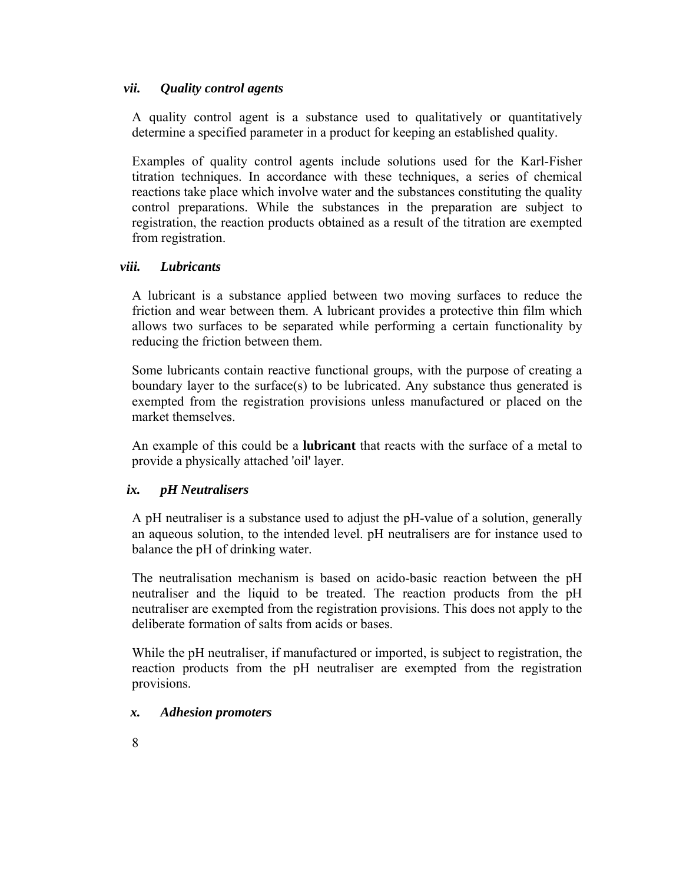### *vii. Quality control agents*

A quality control agent is a substance used to qualitatively or quantitatively determine a specified parameter in a product for keeping an established quality.

Examples of quality control agents include solutions used for the Karl-Fisher titration techniques. In accordance with these techniques, a series of chemical reactions take place which involve water and the substances constituting the quality control preparations. While the substances in the preparation are subject to registration, the reaction products obtained as a result of the titration are exempted from registration.

### *viii. Lubricants*

A lubricant is a substance applied between two moving surfaces to reduce the friction and wear between them. A lubricant provides a protective thin film which allows two surfaces to be separated while performing a certain functionality by reducing the friction between them.

Some lubricants contain reactive functional groups, with the purpose of creating a boundary layer to the surface(s) to be lubricated. Any substance thus generated is exempted from the registration provisions unless manufactured or placed on the market themselves.

An example of this could be a **lubricant** that reacts with the surface of a metal to provide a physically attached 'oil' layer.

# *ix. pH Neutralisers*

A pH neutraliser is a substance used to adjust the pH-value of a solution, generally an aqueous solution, to the intended level. pH neutralisers are for instance used to balance the pH of drinking water.

The neutralisation mechanism is based on acido-basic reaction between the pH neutraliser and the liquid to be treated. The reaction products from the pH neutraliser are exempted from the registration provisions. This does not apply to the deliberate formation of salts from acids or bases.

While the pH neutraliser, if manufactured or imported, is subject to registration, the reaction products from the pH neutraliser are exempted from the registration provisions.

# *x. Adhesion promoters*

8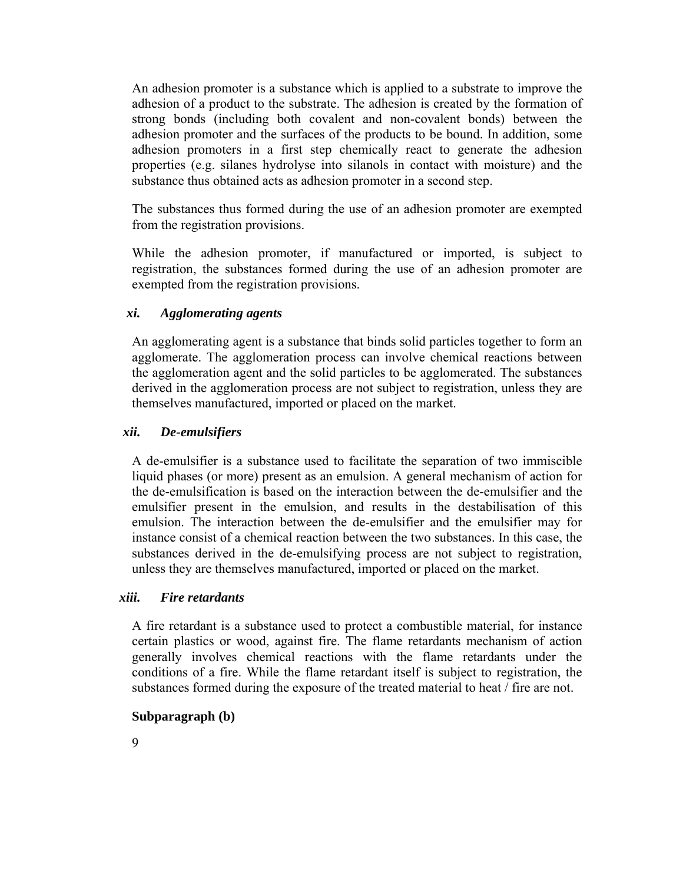An adhesion promoter is a substance which is applied to a substrate to improve the adhesion of a product to the substrate. The adhesion is created by the formation of strong bonds (including both covalent and non-covalent bonds) between the adhesion promoter and the surfaces of the products to be bound. In addition, some adhesion promoters in a first step chemically react to generate the adhesion properties (e.g. silanes hydrolyse into silanols in contact with moisture) and the substance thus obtained acts as adhesion promoter in a second step.

The substances thus formed during the use of an adhesion promoter are exempted from the registration provisions.

While the adhesion promoter, if manufactured or imported, is subject to registration, the substances formed during the use of an adhesion promoter are exempted from the registration provisions.

#### *xi. Agglomerating agents*

An agglomerating agent is a substance that binds solid particles together to form an agglomerate. The agglomeration process can involve chemical reactions between the agglomeration agent and the solid particles to be agglomerated. The substances derived in the agglomeration process are not subject to registration, unless they are themselves manufactured, imported or placed on the market.

#### *xii. De-emulsifiers*

A de-emulsifier is a substance used to facilitate the separation of two immiscible liquid phases (or more) present as an emulsion. A general mechanism of action for the de-emulsification is based on the interaction between the de-emulsifier and the emulsifier present in the emulsion, and results in the destabilisation of this emulsion. The interaction between the de-emulsifier and the emulsifier may for instance consist of a chemical reaction between the two substances. In this case, the substances derived in the de-emulsifying process are not subject to registration, unless they are themselves manufactured, imported or placed on the market.

#### *xiii. Fire retardants*

A fire retardant is a substance used to protect a combustible material, for instance certain plastics or wood, against fire. The flame retardants mechanism of action generally involves chemical reactions with the flame retardants under the conditions of a fire. While the flame retardant itself is subject to registration, the substances formed during the exposure of the treated material to heat / fire are not.

#### **Subparagraph (b)**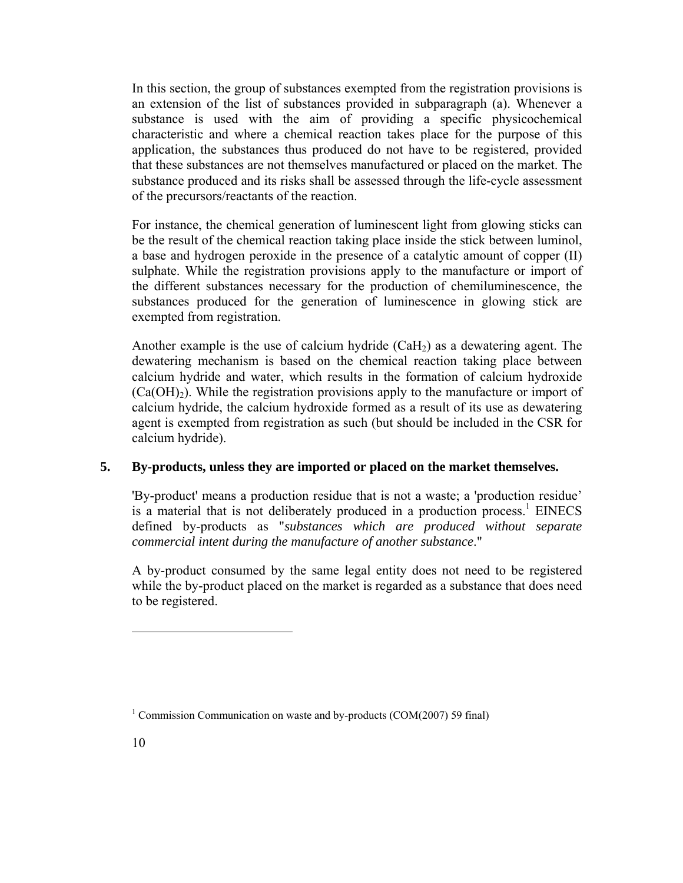In this section, the group of substances exempted from the registration provisions is an extension of the list of substances provided in subparagraph (a). Whenever a substance is used with the aim of providing a specific physicochemical characteristic and where a chemical reaction takes place for the purpose of this application, the substances thus produced do not have to be registered, provided that these substances are not themselves manufactured or placed on the market. The substance produced and its risks shall be assessed through the life-cycle assessment of the precursors/reactants of the reaction.

For instance, the chemical generation of luminescent light from glowing sticks can be the result of the chemical reaction taking place inside the stick between luminol, a base and hydrogen peroxide in the presence of a catalytic amount of copper (II) sulphate. While the registration provisions apply to the manufacture or import of the different substances necessary for the production of chemiluminescence, the substances produced for the generation of luminescence in glowing stick are exempted from registration.

Another example is the use of calcium hydride  $(CaH<sub>2</sub>)$  as a dewatering agent. The dewatering mechanism is based on the chemical reaction taking place between calcium hydride and water, which results in the formation of calcium hydroxide  $(Ca(OH<sub>2</sub>)$ . While the registration provisions apply to the manufacture or import of calcium hydride, the calcium hydroxide formed as a result of its use as dewatering agent is exempted from registration as such (but should be included in the CSR for calcium hydride).

# **5. By-products, unless they are imported or placed on the market themselves.**

'By-product' means a production residue that is not a waste; a 'production residue' is a material that is not deliberately produced in a production process.<sup>1</sup> EINECS defined by-products as "*substances which are produced without separate commercial intent during the manufacture of another substance*."

A by-product consumed by the same legal entity does not need to be registered while the by-product placed on the market is regarded as a substance that does need to be registered.

<sup>&</sup>lt;sup>1</sup> Commission Communication on waste and by-products (COM(2007) 59 final)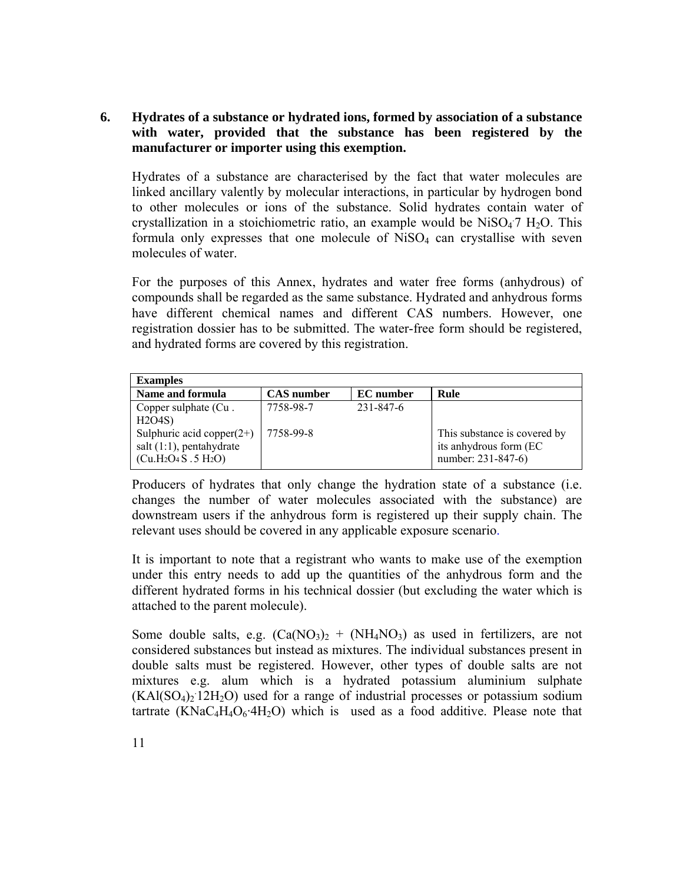# **6. Hydrates of a substance or hydrated ions, formed by association of a substance with water, provided that the substance has been registered by the manufacturer or importer using this exemption.**

Hydrates of a substance are characterised by the fact that water molecules are linked ancillary valently by molecular interactions, in particular by hydrogen bond to other molecules or ions of the substance. Solid hydrates contain water of crystallization in a stoichiometric ratio, an example would be  $Niso_4$ <sup>7</sup> H<sub>2</sub>O. This formula only expresses that one molecule of  $NiSO<sub>4</sub>$  can crystallise with seven molecules of water.

For the purposes of this Annex, hydrates and water free forms (anhydrous) of compounds shall be regarded as the same substance. Hydrated and anhydrous forms have different chemical names and different CAS numbers. However, one registration dossier has to be submitted. The water-free form should be registered, and hydrated forms are covered by this registration.

| <b>Examples</b>                                                                   |                   |                  |                                                                              |
|-----------------------------------------------------------------------------------|-------------------|------------------|------------------------------------------------------------------------------|
| Name and formula                                                                  | <b>CAS</b> number | <b>EC</b> number | Rule                                                                         |
| Copper sulphate (Cu.<br>H2O4S                                                     | 7758-98-7         | 231-847-6        |                                                                              |
| Sulphuric acid copper $(2+)$<br>salt $(1:1)$ , pentahydrate<br>$(Cu.H2O4S.5 H2O)$ | 7758-99-8         |                  | This substance is covered by<br>its anhydrous form (EC<br>number: 231-847-6) |

Producers of hydrates that only change the hydration state of a substance (i.e. changes the number of water molecules associated with the substance) are downstream users if the anhydrous form is registered up their supply chain. The relevant uses should be covered in any applicable exposure scenario.

It is important to note that a registrant who wants to make use of the exemption under this entry needs to add up the quantities of the anhydrous form and the different hydrated forms in his technical dossier (but excluding the water which is attached to the parent molecule).

Some double salts, e.g.  $(Ca(NO<sub>3</sub>)<sub>2</sub> + (NH<sub>4</sub>NO<sub>3</sub>)$  as used in fertilizers, are not considered substances but instead as mixtures. The individual substances present in double salts must be registered. However, other types of double salts are not mixtures e.g. alum which is a hydrated potassium aluminium sulphate  $(KAI(SO<sub>4</sub>)<sub>2</sub> 12H<sub>2</sub>O)$  used for a range of industrial processes or potassium sodium tartrate  $(KNaC<sub>4</sub>H<sub>4</sub>O<sub>6</sub>·4H<sub>2</sub>O)$  which is used as a food additive. Please note that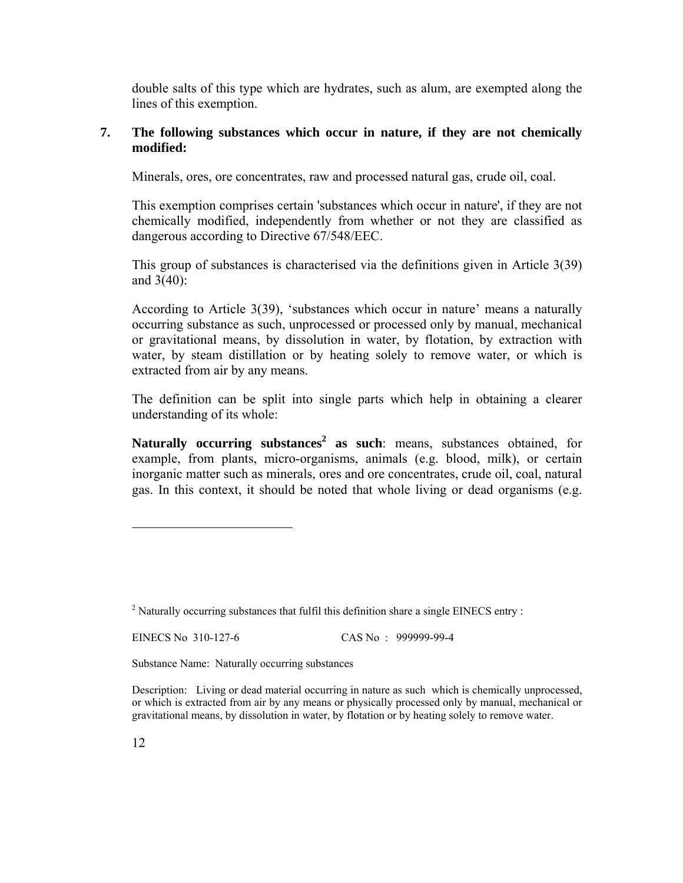double salts of this type which are hydrates, such as alum, are exempted along the lines of this exemption.

### **7. The following substances which occur in nature, if they are not chemically modified:**

Minerals, ores, ore concentrates, raw and processed natural gas, crude oil, coal.

This exemption comprises certain 'substances which occur in nature', if they are not chemically modified, independently from whether or not they are classified as dangerous according to Directive 67/548/EEC.

This group of substances is characterised via the definitions given in Article 3(39) and 3(40):

According to Article 3(39), 'substances which occur in nature' means a naturally occurring substance as such, unprocessed or processed only by manual, mechanical or gravitational means, by dissolution in water, by flotation, by extraction with water, by steam distillation or by heating solely to remove water, or which is extracted from air by any means.

The definition can be split into single parts which help in obtaining a clearer understanding of its whole:

**Naturally occurring substances<sup>2</sup> as such**: means, substances obtained, for example, from plants, micro-organisms, animals (e.g. blood, milk), or certain inorganic matter such as minerals, ores and ore concentrates, crude oil, coal, natural gas. In this context, it should be noted that whole living or dead organisms (e.g.

EINECS No 310-127-6 CAS No : 999999-99-4

Substance Name: Naturally occurring substances

 $2$  Naturally occurring substances that fulfil this definition share a single EINECS entry :

Description: Living or dead material occurring in nature as such which is chemically unprocessed, or which is extracted from air by any means or physically processed only by manual, mechanical or gravitational means, by dissolution in water, by flotation or by heating solely to remove water.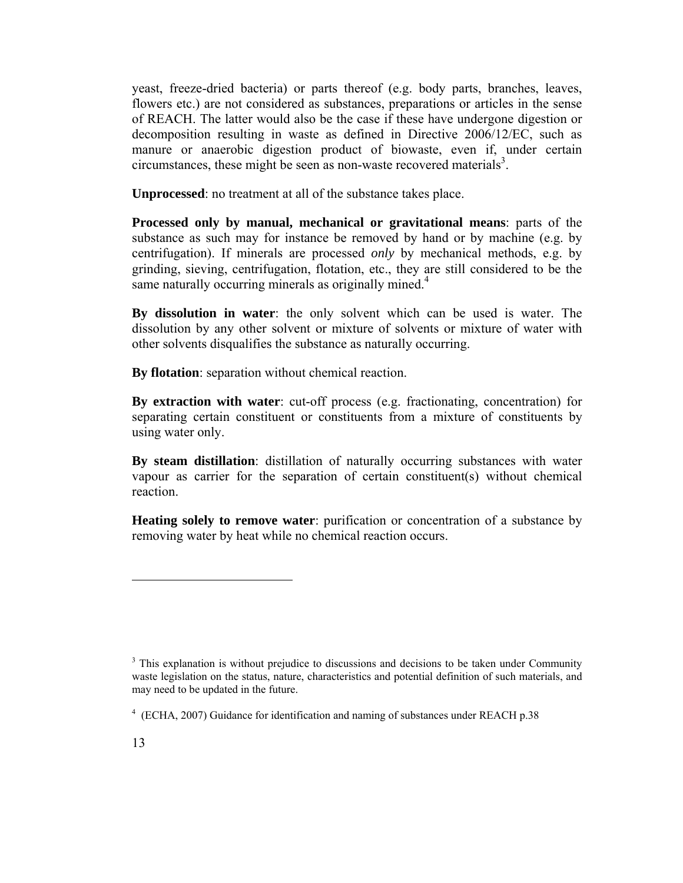yeast, freeze-dried bacteria) or parts thereof (e.g. body parts, branches, leaves, flowers etc.) are not considered as substances, preparations or articles in the sense of REACH. The latter would also be the case if these have undergone digestion or decomposition resulting in waste as defined in Directive 2006/12/EC, such as manure or anaerobic digestion product of biowaste, even if, under certain  $circumstances$ , these might be seen as non-waste recovered materials<sup>3</sup>.

**Unprocessed**: no treatment at all of the substance takes place.

**Processed only by manual, mechanical or gravitational means**: parts of the substance as such may for instance be removed by hand or by machine (e.g. by centrifugation). If minerals are processed *only* by mechanical methods, e.g. by grinding, sieving, centrifugation, flotation, etc., they are still considered to be the same naturally occurring minerals as originally mined. $4$ 

**By dissolution in water**: the only solvent which can be used is water. The dissolution by any other solvent or mixture of solvents or mixture of water with other solvents disqualifies the substance as naturally occurring.

**By flotation**: separation without chemical reaction.

**By extraction with water**: cut-off process (e.g. fractionating, concentration) for separating certain constituent or constituents from a mixture of constituents by using water only.

**By steam distillation**: distillation of naturally occurring substances with water vapour as carrier for the separation of certain constituent(s) without chemical reaction.

**Heating solely to remove water**: purification or concentration of a substance by removing water by heat while no chemical reaction occurs.

<sup>&</sup>lt;sup>3</sup> This explanation is without prejudice to discussions and decisions to be taken under Community waste legislation on the status, nature, characteristics and potential definition of such materials, and may need to be updated in the future.

<sup>4</sup> (ECHA, 2007) Guidance for identification and naming of substances under REACH p.38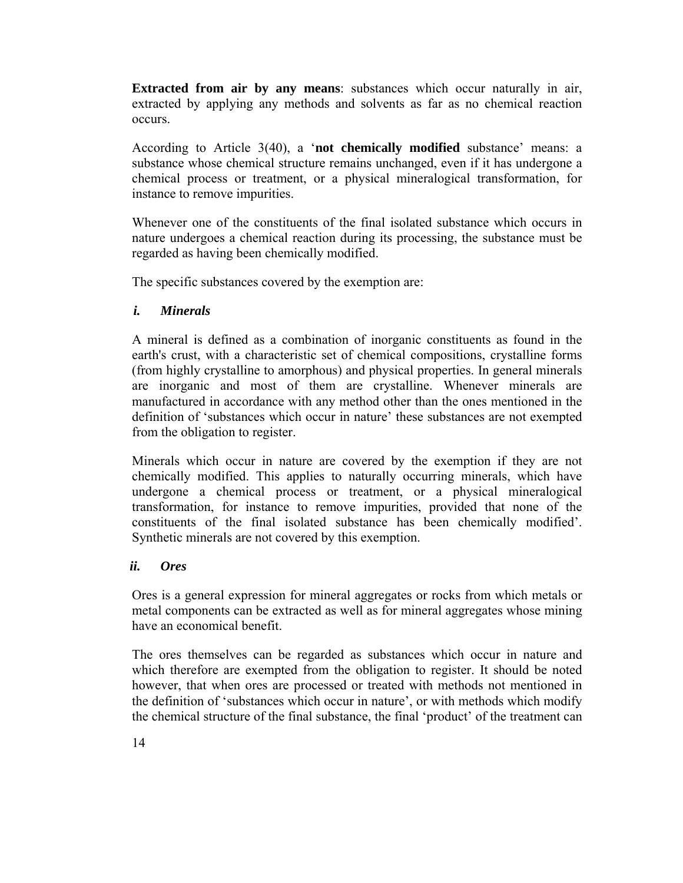**Extracted from air by any means:** substances which occur naturally in air, extracted by applying any methods and solvents as far as no chemical reaction occurs.

According to Article 3(40), a '**not chemically modified** substance' means: a substance whose chemical structure remains unchanged, even if it has undergone a chemical process or treatment, or a physical mineralogical transformation, for instance to remove impurities.

Whenever one of the constituents of the final isolated substance which occurs in nature undergoes a chemical reaction during its processing, the substance must be regarded as having been chemically modified.

The specific substances covered by the exemption are:

### *i. Minerals*

A mineral is defined as a combination of inorganic constituents as found in the earth's crust, with a characteristic set of chemical compositions, crystalline forms (from highly crystalline to amorphous) and physical properties. In general minerals are inorganic and most of them are crystalline. Whenever minerals are manufactured in accordance with any method other than the ones mentioned in the definition of 'substances which occur in nature' these substances are not exempted from the obligation to register.

Minerals which occur in nature are covered by the exemption if they are not chemically modified. This applies to naturally occurring minerals, which have undergone a chemical process or treatment, or a physical mineralogical transformation, for instance to remove impurities, provided that none of the constituents of the final isolated substance has been chemically modified'. Synthetic minerals are not covered by this exemption.

### *ii. Ores*

Ores is a general expression for mineral aggregates or rocks from which metals or metal components can be extracted as well as for mineral aggregates whose mining have an economical benefit.

The ores themselves can be regarded as substances which occur in nature and which therefore are exempted from the obligation to register. It should be noted however, that when ores are processed or treated with methods not mentioned in the definition of 'substances which occur in nature', or with methods which modify the chemical structure of the final substance, the final 'product' of the treatment can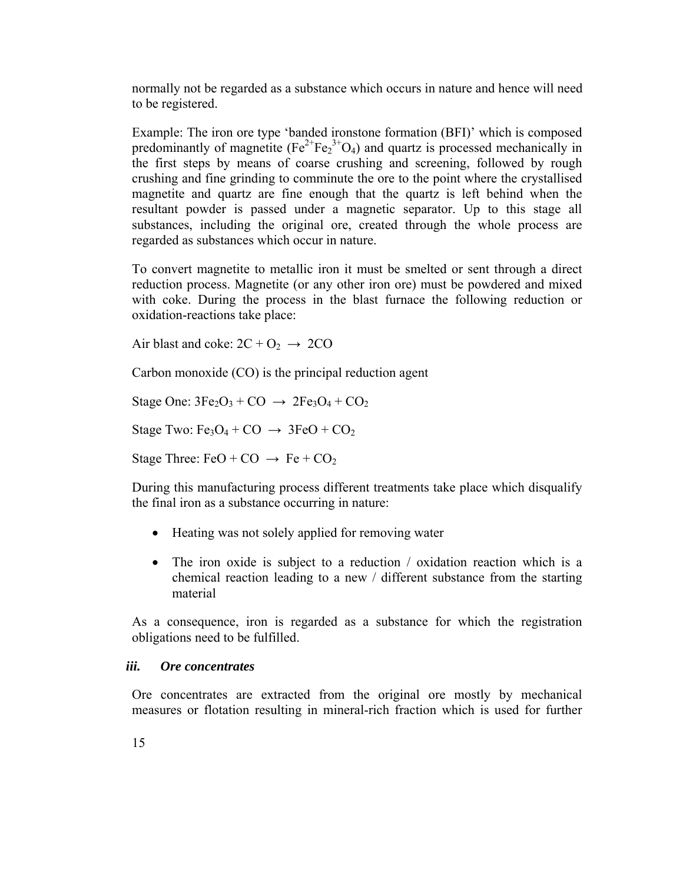normally not be regarded as a substance which occurs in nature and hence will need to be registered.

Example: The iron ore type 'banded ironstone formation (BFI)' which is composed predominantly of magnetite  $(Fe^{2+}Fe_2^{3+}O_4)$  and quartz is processed mechanically in the first steps by means of coarse crushing and screening, followed by rough crushing and fine grinding to comminute the ore to the point where the crystallised magnetite and quartz are fine enough that the quartz is left behind when the resultant powder is passed under a magnetic separator. Up to this stage all substances, including the original ore, created through the whole process are regarded as substances which occur in nature.

To convert magnetite to metallic iron it must be smelted or sent through a direct reduction process. Magnetite (or any other iron ore) must be powdered and mixed with coke. During the process in the blast furnace the following reduction or oxidation-reactions take place:

Air blast and coke:  $2C + O_2 \rightarrow 2CO$ 

Carbon monoxide (CO) is the principal reduction agent

Stage One:  $3Fe<sub>2</sub>O<sub>3</sub> + CO \rightarrow 2Fe<sub>3</sub>O<sub>4</sub> + CO<sub>2</sub>$ 

Stage Two:  $Fe<sub>3</sub>O<sub>4</sub> + CO \rightarrow 3FeO + CO<sub>2</sub>$ 

Stage Three: FeO + CO  $\rightarrow$  Fe + CO<sub>2</sub>

During this manufacturing process different treatments take place which disqualify the final iron as a substance occurring in nature:

- Heating was not solely applied for removing water
- The iron oxide is subject to a reduction / oxidation reaction which is a chemical reaction leading to a new / different substance from the starting material

As a consequence, iron is regarded as a substance for which the registration obligations need to be fulfilled.

#### *iii. Ore concentrates*

Ore concentrates are extracted from the original ore mostly by mechanical measures or flotation resulting in mineral-rich fraction which is used for further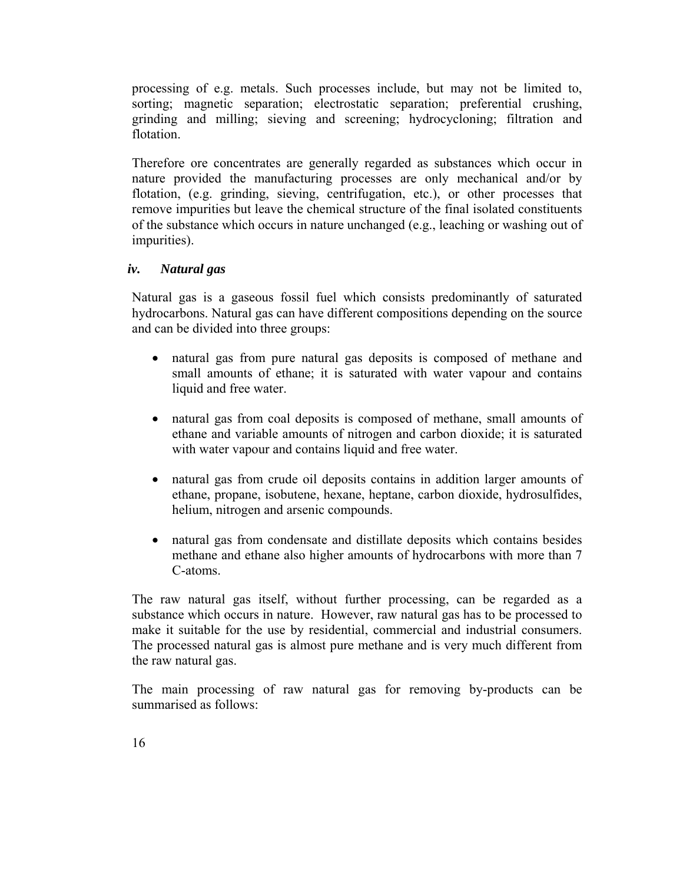processing of e.g. metals. Such processes include, but may not be limited to, sorting; magnetic separation; electrostatic separation; preferential crushing, grinding and milling; sieving and screening; hydrocycloning; filtration and flotation.

Therefore ore concentrates are generally regarded as substances which occur in nature provided the manufacturing processes are only mechanical and/or by flotation, (e.g. grinding, sieving, centrifugation, etc.), or other processes that remove impurities but leave the chemical structure of the final isolated constituents of the substance which occurs in nature unchanged (e.g., leaching or washing out of impurities).

### *iv. Natural gas*

Natural gas is a gaseous fossil fuel which consists predominantly of saturated hydrocarbons. Natural gas can have different compositions depending on the source and can be divided into three groups:

- natural gas from pure natural gas deposits is composed of methane and small amounts of ethane; it is saturated with water vapour and contains liquid and free water.
- natural gas from coal deposits is composed of methane, small amounts of ethane and variable amounts of nitrogen and carbon dioxide; it is saturated with water vapour and contains liquid and free water.
- natural gas from crude oil deposits contains in addition larger amounts of ethane, propane, isobutene, hexane, heptane, carbon dioxide, hydrosulfides, helium, nitrogen and arsenic compounds.
- natural gas from condensate and distillate deposits which contains besides methane and ethane also higher amounts of hydrocarbons with more than 7 C-atoms.

The raw natural gas itself, without further processing, can be regarded as a substance which occurs in nature. However, raw natural gas has to be processed to make it suitable for the use by residential, commercial and industrial consumers. The processed natural gas is almost pure methane and is very much different from the raw natural gas.

The main processing of raw natural gas for removing by-products can be summarised as follows: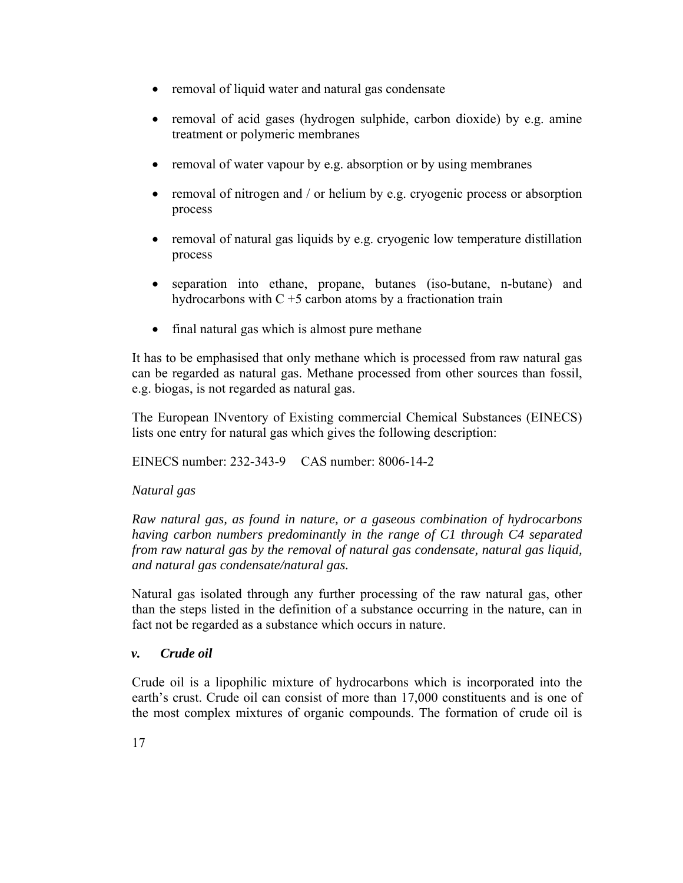- removal of liquid water and natural gas condensate
- removal of acid gases (hydrogen sulphide, carbon dioxide) by e.g. amine treatment or polymeric membranes
- removal of water vapour by e.g. absorption or by using membranes
- removal of nitrogen and / or helium by e.g. cryogenic process or absorption process
- removal of natural gas liquids by e.g. cryogenic low temperature distillation process
- separation into ethane, propane, butanes (iso-butane, n-butane) and hydrocarbons with  $C + 5$  carbon atoms by a fractionation train
- final natural gas which is almost pure methane

It has to be emphasised that only methane which is processed from raw natural gas can be regarded as natural gas. Methane processed from other sources than fossil, e.g. biogas, is not regarded as natural gas.

The European INventory of Existing commercial Chemical Substances (EINECS) lists one entry for natural gas which gives the following description:

EINECS number: 232-343-9 CAS number: 8006-14-2

### *Natural gas*

*Raw natural gas, as found in nature, or a gaseous combination of hydrocarbons having carbon numbers predominantly in the range of C1 through C4 separated from raw natural gas by the removal of natural gas condensate, natural gas liquid, and natural gas condensate/natural gas.* 

Natural gas isolated through any further processing of the raw natural gas, other than the steps listed in the definition of a substance occurring in the nature, can in fact not be regarded as a substance which occurs in nature.

### *v. Crude oil*

Crude oil is a lipophilic mixture of hydrocarbons which is incorporated into the earth's crust. Crude oil can consist of more than 17,000 constituents and is one of the most complex mixtures of organic compounds. The formation of crude oil is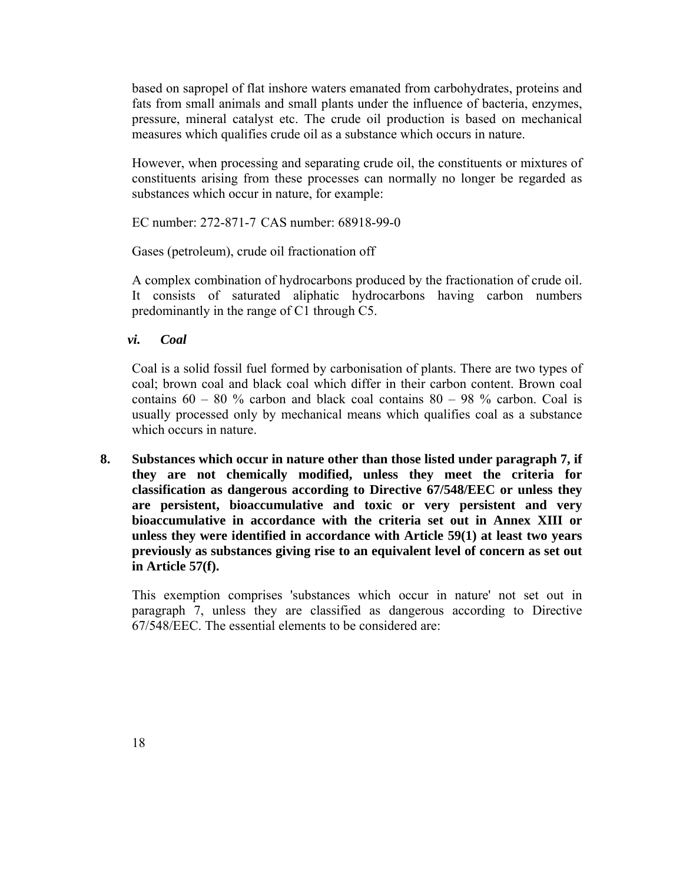based on sapropel of flat inshore waters emanated from carbohydrates, proteins and fats from small animals and small plants under the influence of bacteria, enzymes, pressure, mineral catalyst etc. The crude oil production is based on mechanical measures which qualifies crude oil as a substance which occurs in nature.

However, when processing and separating crude oil, the constituents or mixtures of constituents arising from these processes can normally no longer be regarded as substances which occur in nature, for example:

EC number: 272-871-7 CAS number: 68918-99-0

Gases (petroleum), crude oil fractionation off

A complex combination of hydrocarbons produced by the fractionation of crude oil. It consists of saturated aliphatic hydrocarbons having carbon numbers predominantly in the range of C1 through C5.

*vi. Coal* 

Coal is a solid fossil fuel formed by carbonisation of plants. There are two types of coal; brown coal and black coal which differ in their carbon content. Brown coal contains  $60 - 80$  % carbon and black coal contains  $80 - 98$  % carbon. Coal is usually processed only by mechanical means which qualifies coal as a substance which occurs in nature.

**8. Substances which occur in nature other than those listed under paragraph 7, if they are not chemically modified, unless they meet the criteria for classification as dangerous according to Directive 67/548/EEC or unless they are persistent, bioaccumulative and toxic or very persistent and very bioaccumulative in accordance with the criteria set out in Annex XIII or unless they were identified in accordance with Article 59(1) at least two years previously as substances giving rise to an equivalent level of concern as set out in Article 57(f).** 

This exemption comprises 'substances which occur in nature' not set out in paragraph 7, unless they are classified as dangerous according to Directive 67/548/EEC. The essential elements to be considered are: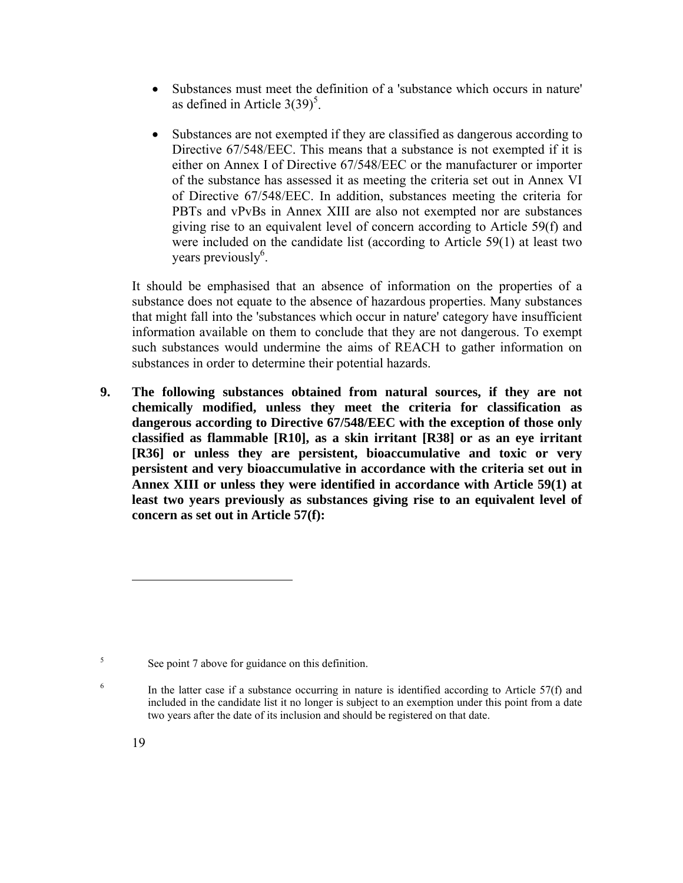- Substances must meet the definition of a 'substance which occurs in nature' as defined in Article  $3(39)^5$ .
- Substances are not exempted if they are classified as dangerous according to Directive 67/548/EEC. This means that a substance is not exempted if it is either on Annex I of Directive 67/548/EEC or the manufacturer or importer of the substance has assessed it as meeting the criteria set out in Annex VI of Directive 67/548/EEC. In addition, substances meeting the criteria for PBTs and vPvBs in Annex XIII are also not exempted nor are substances giving rise to an equivalent level of concern according to Article 59(f) and were included on the candidate list (according to Article 59(1) at least two years previously<sup>6</sup>.

It should be emphasised that an absence of information on the properties of a substance does not equate to the absence of hazardous properties. Many substances that might fall into the 'substances which occur in nature' category have insufficient information available on them to conclude that they are not dangerous. To exempt such substances would undermine the aims of REACH to gather information on substances in order to determine their potential hazards.

**9. The following substances obtained from natural sources, if they are not chemically modified, unless they meet the criteria for classification as dangerous according to Directive 67/548/EEC with the exception of those only classified as flammable [R10], as a skin irritant [R38] or as an eye irritant [R36] or unless they are persistent, bioaccumulative and toxic or very persistent and very bioaccumulative in accordance with the criteria set out in Annex XIII or unless they were identified in accordance with Article 59(1) at least two years previously as substances giving rise to an equivalent level of concern as set out in Article 57(f):** 

6

<sup>5</sup> See point 7 above for guidance on this definition.

In the latter case if a substance occurring in nature is identified according to Article 57(f) and included in the candidate list it no longer is subject to an exemption under this point from a date two years after the date of its inclusion and should be registered on that date.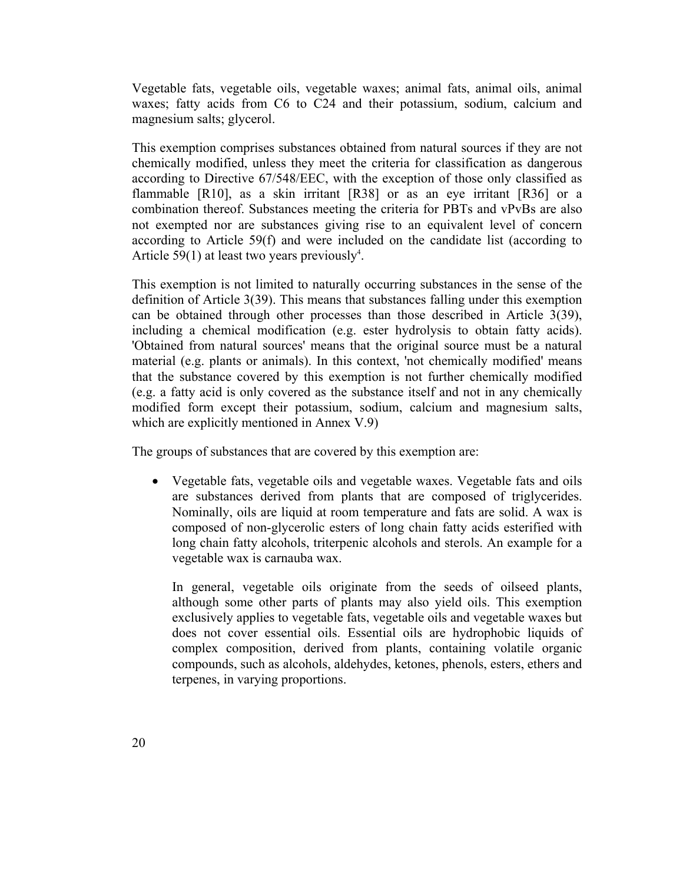Vegetable fats, vegetable oils, vegetable waxes; animal fats, animal oils, animal waxes; fatty acids from C6 to C24 and their potassium, sodium, calcium and magnesium salts; glycerol.

This exemption comprises substances obtained from natural sources if they are not chemically modified, unless they meet the criteria for classification as dangerous according to Directive 67/548/EEC, with the exception of those only classified as flammable  $[R10]$ , as a skin irritant  $[R38]$  or as an eye irritant  $[R36]$  or a combination thereof. Substances meeting the criteria for PBTs and vPvBs are also not exempted nor are substances giving rise to an equivalent level of concern according to Article 59(f) and were included on the candidate list (according to Article 59(1) at least two years previously<sup>4</sup>.

This exemption is not limited to naturally occurring substances in the sense of the definition of Article 3(39). This means that substances falling under this exemption can be obtained through other processes than those described in Article 3(39), including a chemical modification (e.g. ester hydrolysis to obtain fatty acids). 'Obtained from natural sources' means that the original source must be a natural material (e.g. plants or animals). In this context, 'not chemically modified' means that the substance covered by this exemption is not further chemically modified (e.g. a fatty acid is only covered as the substance itself and not in any chemically modified form except their potassium, sodium, calcium and magnesium salts, which are explicitly mentioned in Annex V.9)

The groups of substances that are covered by this exemption are:

• Vegetable fats, vegetable oils and vegetable waxes. Vegetable fats and oils are substances derived from plants that are composed of triglycerides. Nominally, oils are liquid at room temperature and fats are solid. A wax is composed of non-glycerolic esters of long chain fatty acids esterified with long chain fatty alcohols, triterpenic alcohols and sterols. An example for a vegetable wax is carnauba wax.

In general, vegetable oils originate from the seeds of oilseed plants, although some other parts of plants may also yield oils. This exemption exclusively applies to vegetable fats, vegetable oils and vegetable waxes but does not cover essential oils. Essential oils are hydrophobic liquids of complex composition, derived from plants, containing volatile organic compounds, such as alcohols, aldehydes, ketones, phenols, esters, ethers and terpenes, in varying proportions.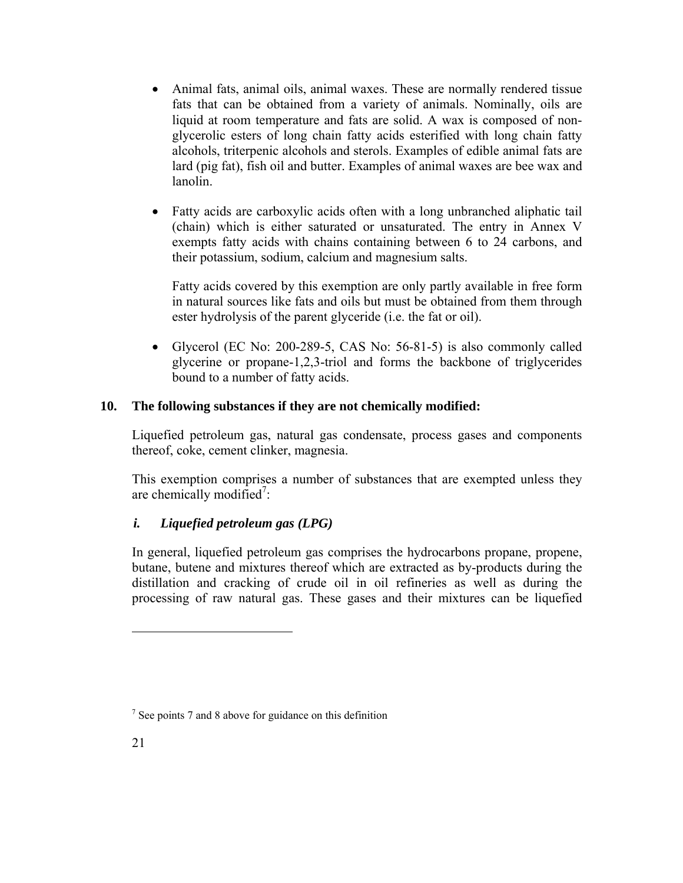- Animal fats, animal oils, animal waxes. These are normally rendered tissue fats that can be obtained from a variety of animals. Nominally, oils are liquid at room temperature and fats are solid. A wax is composed of nonglycerolic esters of long chain fatty acids esterified with long chain fatty alcohols, triterpenic alcohols and sterols. Examples of edible animal fats are lard (pig fat), fish oil and butter. Examples of animal waxes are bee wax and lanolin.
- Fatty acids are carboxylic acids often with a long unbranched aliphatic tail (chain) which is either saturated or unsaturated. The entry in Annex V exempts fatty acids with chains containing between 6 to 24 carbons, and their potassium, sodium, calcium and magnesium salts.

Fatty acids covered by this exemption are only partly available in free form in natural sources like fats and oils but must be obtained from them through ester hydrolysis of the parent glyceride (i.e. the fat or oil).

• Glycerol (EC No: 200-289-5, CAS No: 56-81-5) is also commonly called glycerine or propane-1,2,3-triol and forms the backbone of triglycerides bound to a number of fatty acids.

# **10. The following substances if they are not chemically modified:**

Liquefied petroleum gas, natural gas condensate, process gases and components thereof, coke, cement clinker, magnesia.

This exemption comprises a number of substances that are exempted unless they are chemically modified<sup>7</sup>:

# *i. Liquefied petroleum gas (LPG)*

In general, liquefied petroleum gas comprises the hydrocarbons propane, propene, butane, butene and mixtures thereof which are extracted as by-products during the distillation and cracking of crude oil in oil refineries as well as during the processing of raw natural gas. These gases and their mixtures can be liquefied

<sup>&</sup>lt;sup>7</sup> See points 7 and 8 above for guidance on this definition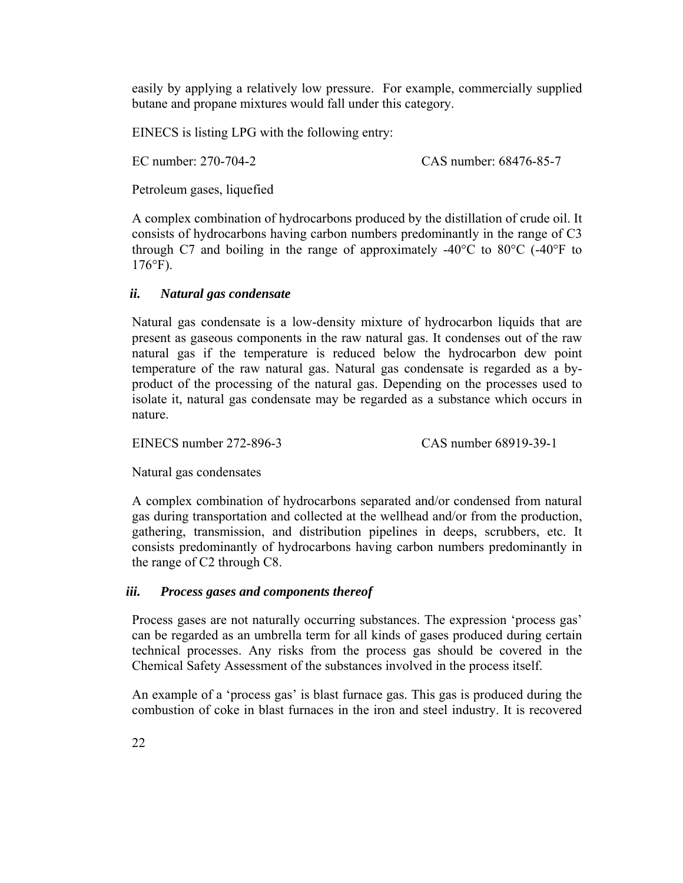easily by applying a relatively low pressure. For example, commercially supplied butane and propane mixtures would fall under this category.

EINECS is listing LPG with the following entry:

EC number: 270-704-2 CAS number: 68476-85-7

Petroleum gases, liquefied

A complex combination of hydrocarbons produced by the distillation of crude oil. It consists of hydrocarbons having carbon numbers predominantly in the range of C3 through C7 and boiling in the range of approximately  $-40^{\circ}$ C to  $80^{\circ}$ C ( $-40^{\circ}$ F to 176°F).

# *ii. Natural gas condensate*

Natural gas condensate is a low-density mixture of hydrocarbon liquids that are present as gaseous components in the raw natural gas. It condenses out of the raw natural gas if the temperature is reduced below the hydrocarbon dew point temperature of the raw natural gas. Natural gas condensate is regarded as a byproduct of the processing of the natural gas. Depending on the processes used to isolate it, natural gas condensate may be regarded as a substance which occurs in nature.

EINECS number 272-896-3 CAS number 68919-39-1

Natural gas condensates

A complex combination of hydrocarbons separated and/or condensed from natural gas during transportation and collected at the wellhead and/or from the production, gathering, transmission, and distribution pipelines in deeps, scrubbers, etc. It consists predominantly of hydrocarbons having carbon numbers predominantly in the range of C2 through C8.

# *iii. Process gases and components thereof*

Process gases are not naturally occurring substances. The expression 'process gas' can be regarded as an umbrella term for all kinds of gases produced during certain technical processes. Any risks from the process gas should be covered in the Chemical Safety Assessment of the substances involved in the process itself.

An example of a 'process gas' is blast furnace gas. This gas is produced during the combustion of coke in blast furnaces in the iron and steel industry. It is recovered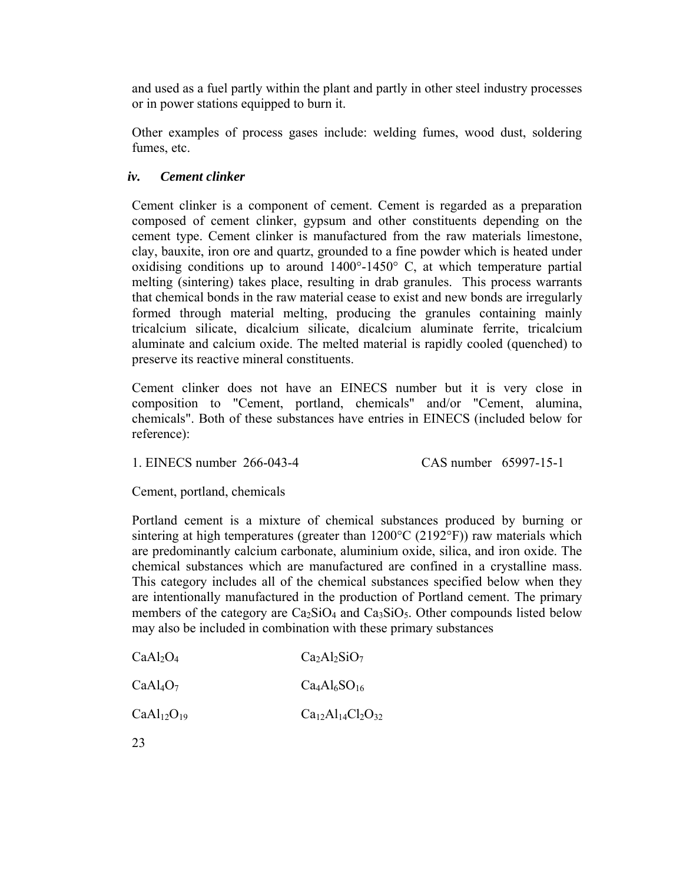and used as a fuel partly within the plant and partly in other steel industry processes or in power stations equipped to burn it.

Other examples of process gases include: welding fumes, wood dust, soldering fumes, etc.

### *iv. Cement clinker*

Cement clinker is a component of cement. Cement is regarded as a preparation composed of cement clinker, gypsum and other constituents depending on the cement type. Cement clinker is manufactured from the raw materials limestone, clay, bauxite, iron ore and quartz, grounded to a fine powder which is heated under oxidising conditions up to around 1400°-1450° C, at which temperature partial melting (sintering) takes place, resulting in drab granules. This process warrants that chemical bonds in the raw material cease to exist and new bonds are irregularly formed through material melting, producing the granules containing mainly tricalcium silicate, dicalcium silicate, dicalcium aluminate ferrite, tricalcium aluminate and calcium oxide. The melted material is rapidly cooled (quenched) to preserve its reactive mineral constituents.

Cement clinker does not have an EINECS number but it is very close in composition to "Cement, portland, chemicals" and/or "Cement, alumina, chemicals". Both of these substances have entries in EINECS (included below for reference):

1. EINECS number 266-043-4 CAS number 65997-15-1

Cement, portland, chemicals

Portland cement is a mixture of chemical substances produced by burning or sintering at high temperatures (greater than  $1200^{\circ}$ C (2192 $^{\circ}$ F)) raw materials which are predominantly calcium carbonate, aluminium oxide, silica, and iron oxide. The chemical substances which are manufactured are confined in a crystalline mass. This category includes all of the chemical substances specified below when they are intentionally manufactured in the production of Portland cement. The primary members of the category are  $Ca<sub>2</sub>SiO<sub>4</sub>$  and  $Ca<sub>3</sub>SiO<sub>5</sub>$ . Other compounds listed below may also be included in combination with these primary substances

| CaAl <sub>2</sub> O <sub>4</sub> | $Ca2Al2SiO7$ |
|----------------------------------|--------------|
|                                  |              |

| CaAl <sub>4</sub> O <sub>7</sub> | $Ca4Al6SO16$ |
|----------------------------------|--------------|
|                                  |              |

 $CaAl<sub>12</sub>O<sub>19</sub>$   $Ca<sub>12</sub>Al<sub>14</sub>Cl<sub>2</sub>O<sub>32</sub>$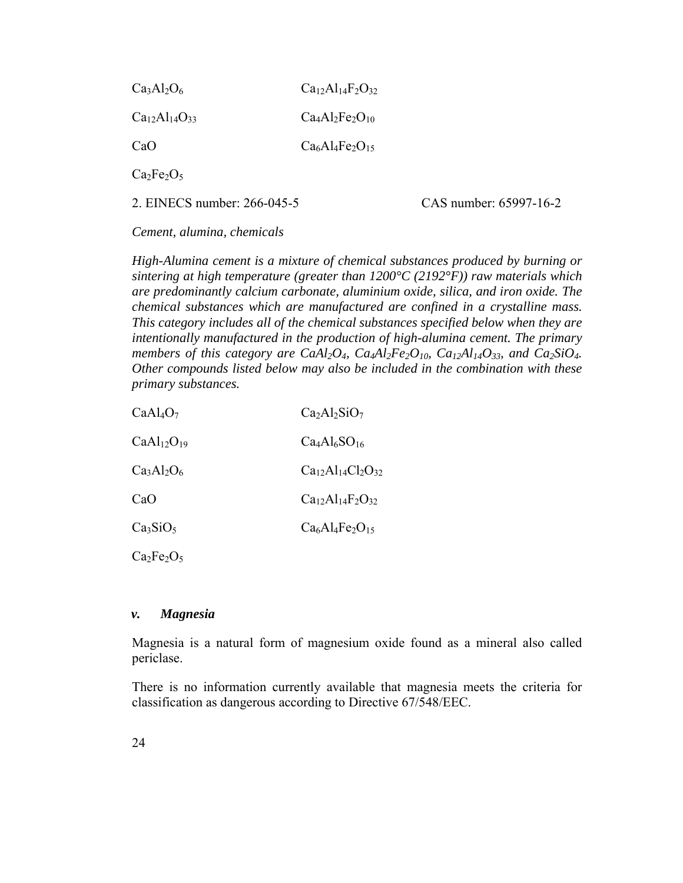| $Ca3Al2O6$                                 | $Ca12Al14F2O32$ |
|--------------------------------------------|-----------------|
| $Ca_{12}Al_{14}O_{33}$                     | $Ca4Al2Fe2O10$  |
| CaO                                        | $Ca6Al4Fe2O15$  |
| $Ca2Fe2O5$                                 |                 |
| $\Omega$ EBIECC $\Omega$ $\Omega$ $\Omega$ |                 |

2. EINECS number: 266-045-5 CAS number: 65997-16-2

*Cement, alumina, chemicals* 

*High-Alumina cement is a mixture of chemical substances produced by burning or sintering at high temperature (greater than 1200°C (2192°F)) raw materials which are predominantly calcium carbonate, aluminium oxide, silica, and iron oxide. The chemical substances which are manufactured are confined in a crystalline mass. This category includes all of the chemical substances specified below when they are intentionally manufactured in the production of high-alumina cement. The primary members of this category are CaAl<sub>2</sub>O<sub>4</sub>, Ca<sub>4</sub>Al<sub>2</sub>Fe<sub>2</sub>O<sub>10</sub>, Ca<sub>12</sub>Al<sub>14</sub>O<sub>33</sub>, and Ca<sub>2</sub>SiO<sub>4</sub>. Other compounds listed below may also be included in the combination with these primary substances.* 

| CaAl <sub>4</sub> O <sub>7</sub>   | $Ca2Al2SiO7$                |
|------------------------------------|-----------------------------|
| CaAl <sub>12</sub> O <sub>19</sub> | $Ca4Al6SO16$                |
| $Ca3Al2O6$                         | $Ca12Al14Cl2O32$            |
| CaO                                | $Ca_{12}Al_{14}F_{2}O_{32}$ |
| Ca <sub>3</sub> SiO <sub>5</sub>   | $Ca6Al4Fe2O15$              |
| $\cap$ $\Gamma$ $\cap$             |                             |

 $Ca<sub>2</sub>Fe<sub>2</sub>O<sub>5</sub>$ 

#### *v. Magnesia*

Magnesia is a natural form of magnesium oxide found as a mineral also called periclase.

There is no information currently available that magnesia meets the criteria for classification as dangerous according to Directive 67/548/EEC.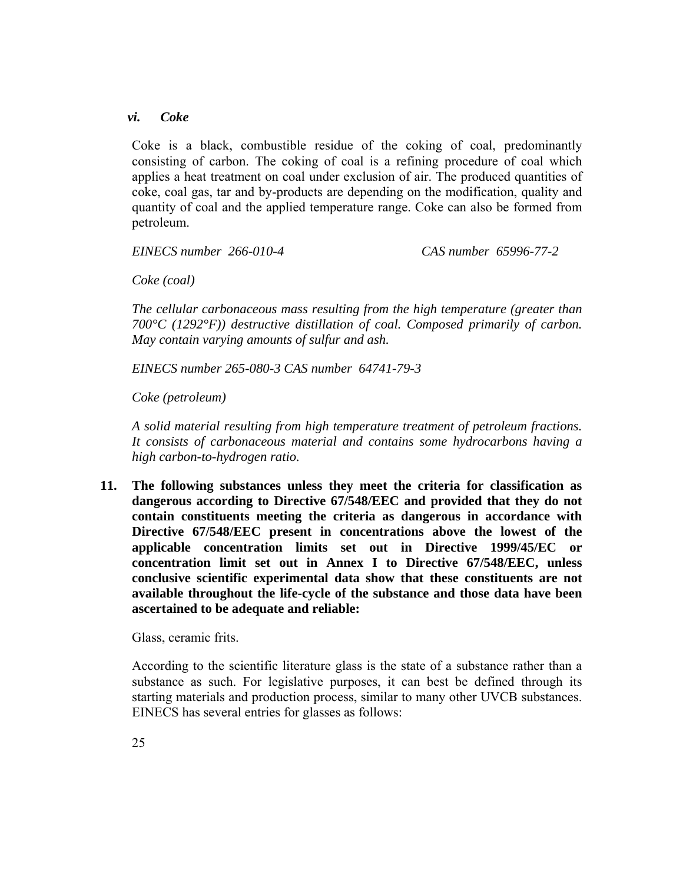#### *vi. Coke*

Coke is a black, combustible residue of the coking of coal, predominantly consisting of carbon. The coking of coal is a refining procedure of coal which applies a heat treatment on coal under exclusion of air. The produced quantities of coke, coal gas, tar and by-products are depending on the modification, quality and quantity of coal and the applied temperature range. Coke can also be formed from petroleum.

*EINECS number 266-010-4 CAS number 65996-77-2* 

*Coke (coal)* 

*The cellular carbonaceous mass resulting from the high temperature (greater than 700°C (1292°F)) destructive distillation of coal. Composed primarily of carbon. May contain varying amounts of sulfur and ash.*

*EINECS number 265-080-3 CAS number 64741-79-3* 

*Coke (petroleum)* 

*A solid material resulting from high temperature treatment of petroleum fractions. It consists of carbonaceous material and contains some hydrocarbons having a high carbon-to-hydrogen ratio.* 

**11. The following substances unless they meet the criteria for classification as dangerous according to Directive 67/548/EEC and provided that they do not contain constituents meeting the criteria as dangerous in accordance with Directive 67/548/EEC present in concentrations above the lowest of the applicable concentration limits set out in Directive 1999/45/EC or concentration limit set out in Annex I to Directive 67/548/EEC, unless conclusive scientific experimental data show that these constituents are not available throughout the life-cycle of the substance and those data have been ascertained to be adequate and reliable:** 

Glass, ceramic frits.

According to the scientific literature glass is the state of a substance rather than a substance as such. For legislative purposes, it can best be defined through its starting materials and production process, similar to many other UVCB substances. EINECS has several entries for glasses as follows: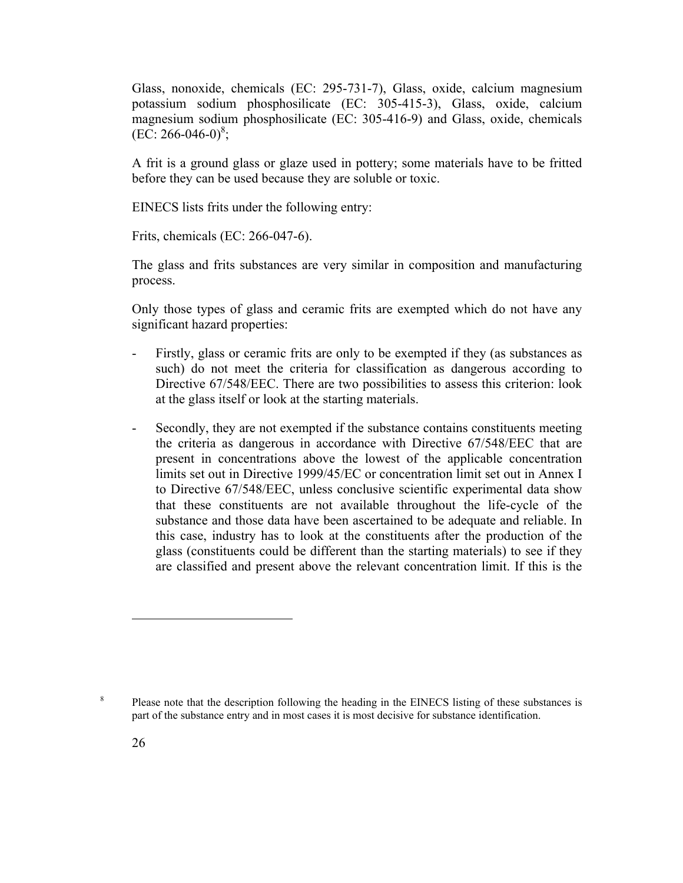Glass, nonoxide, chemicals (EC: 295-731-7), Glass, oxide, calcium magnesium potassium sodium phosphosilicate (EC: 305-415-3), Glass, oxide, calcium magnesium sodium phosphosilicate (EC: 305-416-9) and Glass, oxide, chemicals  $(EC: 266-046-0)^8;$ 

A frit is a ground glass or glaze used in pottery; some materials have to be fritted before they can be used because they are soluble or toxic.

EINECS lists frits under the following entry:

Frits, chemicals (EC: 266-047-6).

The glass and frits substances are very similar in composition and manufacturing process.

Only those types of glass and ceramic frits are exempted which do not have any significant hazard properties:

- Firstly, glass or ceramic frits are only to be exempted if they (as substances as such) do not meet the criteria for classification as dangerous according to Directive 67/548/EEC. There are two possibilities to assess this criterion: look at the glass itself or look at the starting materials.
- Secondly, they are not exempted if the substance contains constituents meeting the criteria as dangerous in accordance with Directive 67/548/EEC that are present in concentrations above the lowest of the applicable concentration limits set out in Directive 1999/45/EC or concentration limit set out in Annex I to Directive 67/548/EEC, unless conclusive scientific experimental data show that these constituents are not available throughout the life-cycle of the substance and those data have been ascertained to be adequate and reliable. In this case, industry has to look at the constituents after the production of the glass (constituents could be different than the starting materials) to see if they are classified and present above the relevant concentration limit. If this is the

8

Please note that the description following the heading in the EINECS listing of these substances is part of the substance entry and in most cases it is most decisive for substance identification.